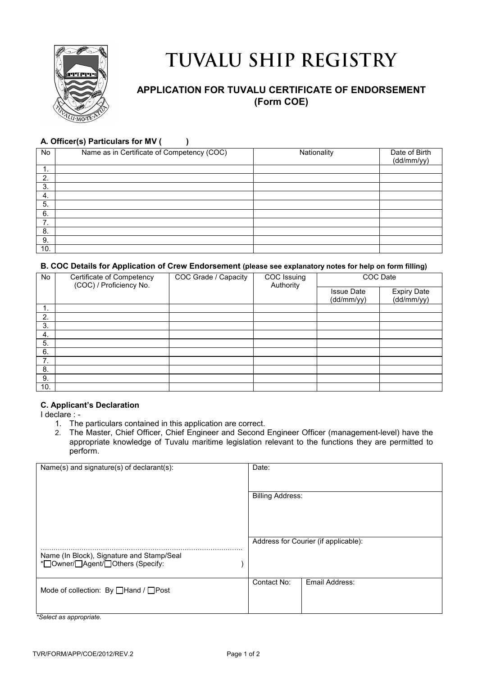

# TUVALU SHIP REGISTRY

## **APPLICATION FOR TUVALU CERTIFICATE OF ENDORSEMENT (Form COE)**

### **A. Officer(s) Particulars for MV ( )**

| No      | Name as in Certificate of Competency (COC) | Nationality | Date of Birth<br>(dd/mm/yy) |
|---------|--------------------------------------------|-------------|-----------------------------|
| ◢<br>л. |                                            |             |                             |
| 2.      |                                            |             |                             |
| 3.      |                                            |             |                             |
| 4.      |                                            |             |                             |
| 5.      |                                            |             |                             |
| 6.      |                                            |             |                             |
| 7<br>., |                                            |             |                             |
| 8.      |                                            |             |                             |
| 9.      |                                            |             |                             |
| 10.     |                                            |             |                             |

#### **B. COC Details for Application of Crew Endorsement (please see explanatory notes for help on form filling)**

| <b>No</b> | Certificate of Competency<br>(COC) / Proficiency No. | COC Grade / Capacity | COC Issuing<br>Authority |                                 | COC Date                         |
|-----------|------------------------------------------------------|----------------------|--------------------------|---------------------------------|----------------------------------|
|           |                                                      |                      |                          | <b>Issue Date</b><br>(dd/mm/yy) | <b>Expiry Date</b><br>(dd/mm/yy) |
|           |                                                      |                      |                          |                                 |                                  |
| ι.        |                                                      |                      |                          |                                 |                                  |
| 2.        |                                                      |                      |                          |                                 |                                  |
| 3.        |                                                      |                      |                          |                                 |                                  |
| 4.        |                                                      |                      |                          |                                 |                                  |
| 5.        |                                                      |                      |                          |                                 |                                  |
| 6.        |                                                      |                      |                          |                                 |                                  |
| 7.        |                                                      |                      |                          |                                 |                                  |
| 8.        |                                                      |                      |                          |                                 |                                  |
| 9.        |                                                      |                      |                          |                                 |                                  |
| 10.       |                                                      |                      |                          |                                 |                                  |

#### **C. Applicant's Declaration**

I declare : -

- 1. The particulars contained in this application are correct.
- 2. The Master, Chief Officer, Chief Engineer and Second Engineer Officer (management-level) have the appropriate knowledge of Tuvalu maritime legislation relevant to the functions they are permitted to perform.

| Name(s) and signature(s) of declarant(s):     | Date:                   |                                      |
|-----------------------------------------------|-------------------------|--------------------------------------|
|                                               |                         |                                      |
|                                               |                         |                                      |
|                                               |                         |                                      |
|                                               | <b>Billing Address:</b> |                                      |
|                                               |                         |                                      |
|                                               |                         |                                      |
|                                               |                         |                                      |
|                                               |                         |                                      |
|                                               |                         |                                      |
|                                               |                         |                                      |
|                                               |                         | Address for Courier (if applicable): |
|                                               |                         |                                      |
|                                               |                         |                                      |
| Name (In Block), Signature and Stamp/Seal     |                         |                                      |
| * <sup>-</sup> Owner/ Agent/ Others (Specify: |                         |                                      |
|                                               |                         |                                      |
|                                               |                         |                                      |
|                                               | Contact No:             | Email Address:                       |
| Mode of collection: By <b>Hand</b> / Post     |                         |                                      |
|                                               |                         |                                      |
|                                               |                         |                                      |
|                                               |                         |                                      |
|                                               |                         |                                      |

*\*Select as appropriate.*